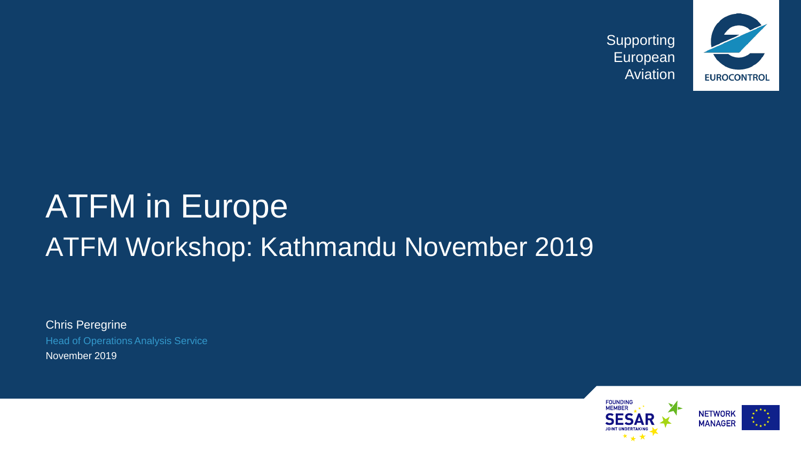

# ATFM in Europe ATFM Workshop: Kathmandu November 2019

Chris Peregrine Head of Operations Analysis Service November 2019

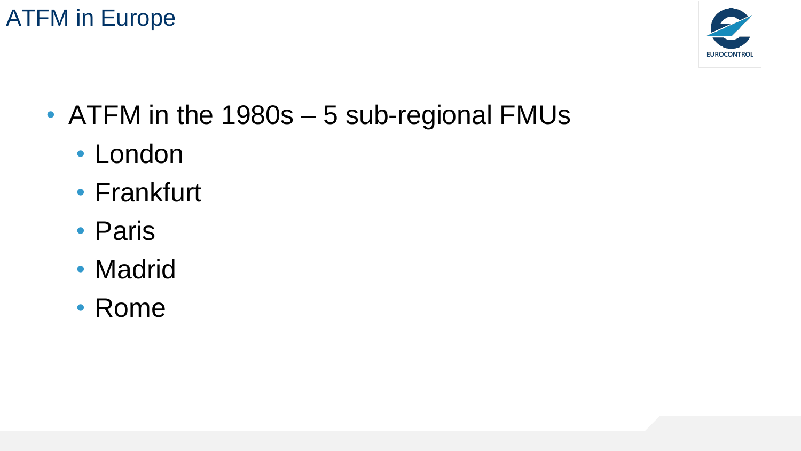

- ATFM in the 1980s 5 sub-regional FMUs
	- London
	- Frankfurt
	- Paris
	- Madrid
	- Rome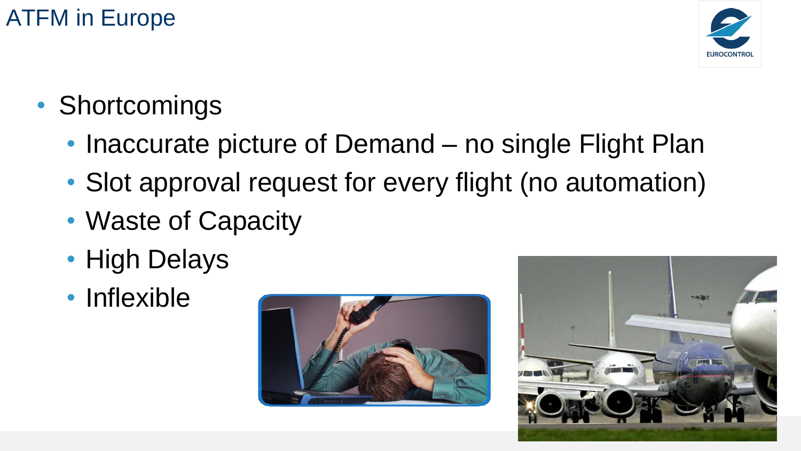

- Shortcomings
	- Inaccurate picture of Demand no single Flight Plan
	- Slot approval request for every flight (no automation)
	- Waste of Capacity
	- High Delays
	- Inflexible



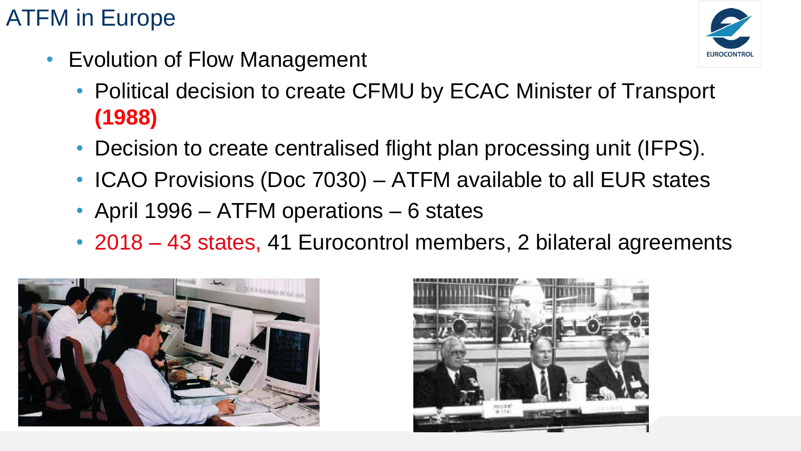• Evolution of Flow Management



- Political decision to create CFMU by ECAC Minister of Transport **(1988)**
- Decision to create centralised flight plan processing unit (IFPS).
- ICAO Provisions (Doc 7030) ATFM available to all EUR states
- April 1996 ATFM operations 6 states
- 2018 43 states, 41 Eurocontrol members, 2 bilateral agreements



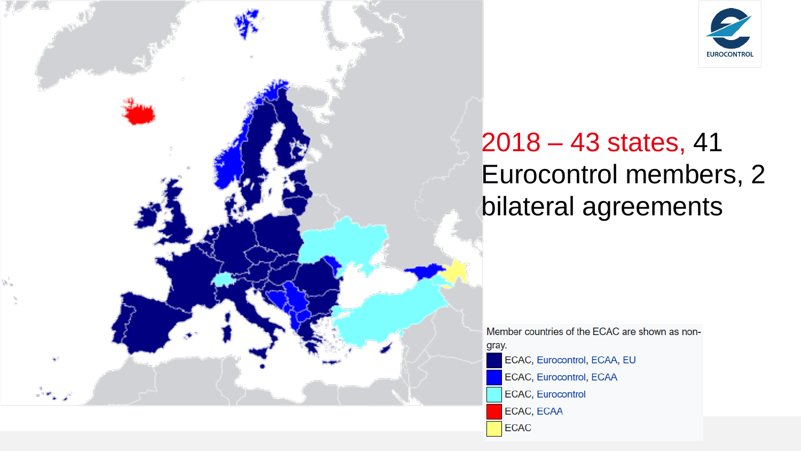

# 2018 – 43 states, 41 Eurocontrol members, 2 bilateral agreements

Member countries of the ECAC are shown as nongray. ECAC, Eurocontrol, ECAA, EU ECAC, Eurocontrol, ECAA ECAC, Eurocontrol ECAC, ECAA **ECAC**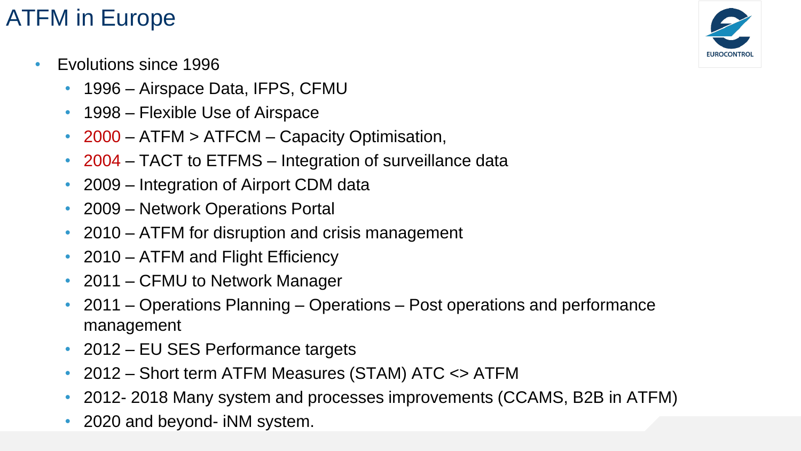- Evolutions since 1996
	- 1996 Airspace Data, IFPS, CFMU
	- 1998 Flexible Use of Airspace
	- 2000 ATFM > ATFCM Capacity Optimisation,
	- 2004 TACT to ETFMS Integration of surveillance data
	- 2009 Integration of Airport CDM data
	- 2009 Network Operations Portal
	- 2010 ATFM for disruption and crisis management
	- 2010 ATFM and Flight Efficiency
	- 2011 CFMU to Network Manager
	- 2011 Operations Planning Operations Post operations and performance management
	- 2012 EU SES Performance targets
	- 2012 Short term ATFM Measures (STAM) ATC <> ATFM
	- 2012- 2018 Many system and processes improvements (CCAMS, B2B in ATFM)
	- 2020 and beyond- iNM system.

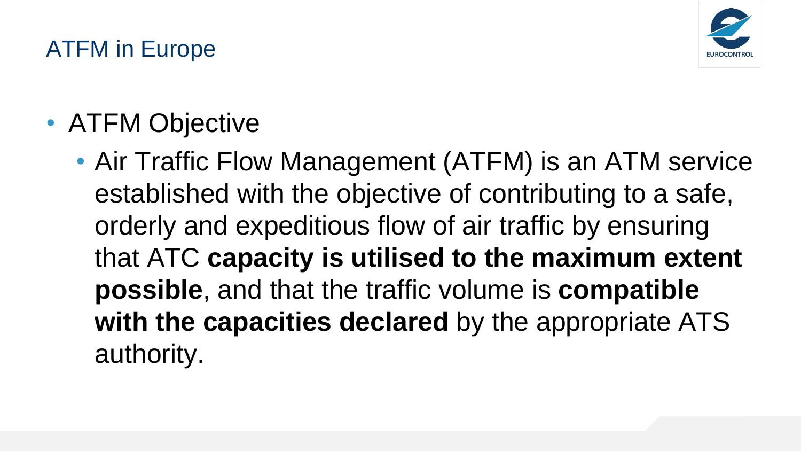

• ATFM Objective

• Air Traffic Flow Management (ATFM) is an ATM service established with the objective of contributing to a safe, orderly and expeditious flow of air traffic by ensuring that ATC **capacity is utilised to the maximum extent possible**, and that the traffic volume is **compatible with the capacities declared** by the appropriate ATS authority.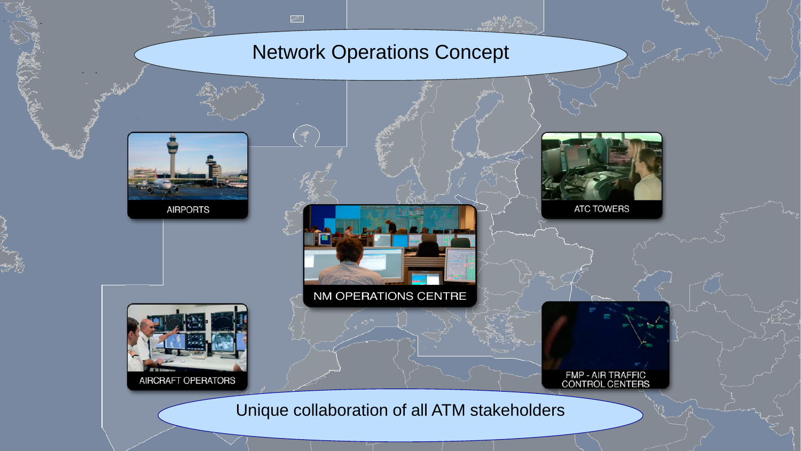#### Network Operations Concept

 $\sigma^{\mathcal{L}}$ 



**AIRPORTS** 

AIRCRAFT OPERATORS



ATC TOWERS

FMP - AIR TRAFFIC<br>CONTROL CENTERS

Unique collaboration of all ATM stakeholders

NM OPERATIONS CENTRE

 $-121$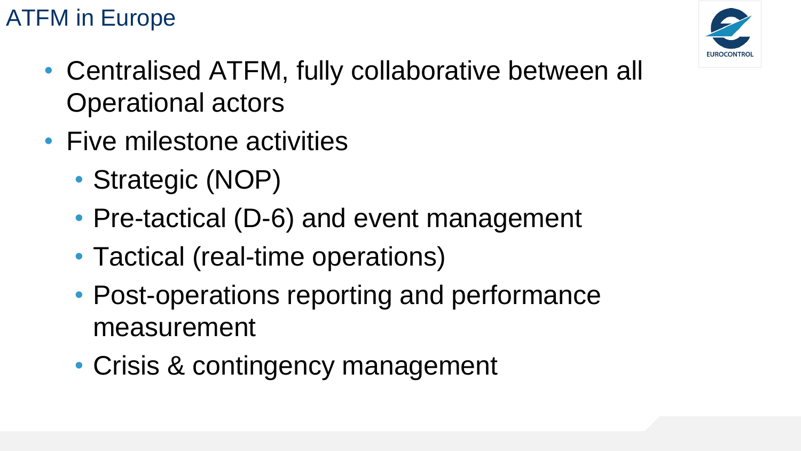

- Centralised ATFM, fully collaborative between all Operational actors
- Five milestone activities
	- Strategic (NOP)
	- Pre-tactical (D-6) and event management
	- Tactical (real-time operations)
	- Post-operations reporting and performance measurement
	- Crisis & contingency management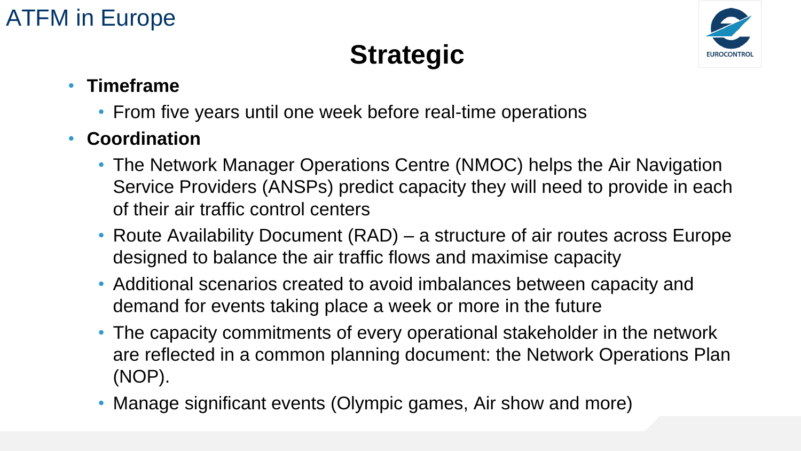# **Strategic**



#### • **Timeframe**

- From five years until one week before real-time operations
- **Coordination**
	- The Network Manager Operations Centre (NMOC) helps the Air Navigation Service Providers (ANSPs) predict capacity they will need to provide in each of their air traffic control centers
	- Route Availability Document (RAD) a structure of air routes across Europe designed to balance the air traffic flows and maximise capacity
	- Additional scenarios created to avoid imbalances between capacity and demand for events taking place a week or more in the future
	- The capacity commitments of every operational stakeholder in the network are reflected in a common planning document: the Network Operations Plan (NOP).
	- Manage significant events (Olympic games, Air show and more)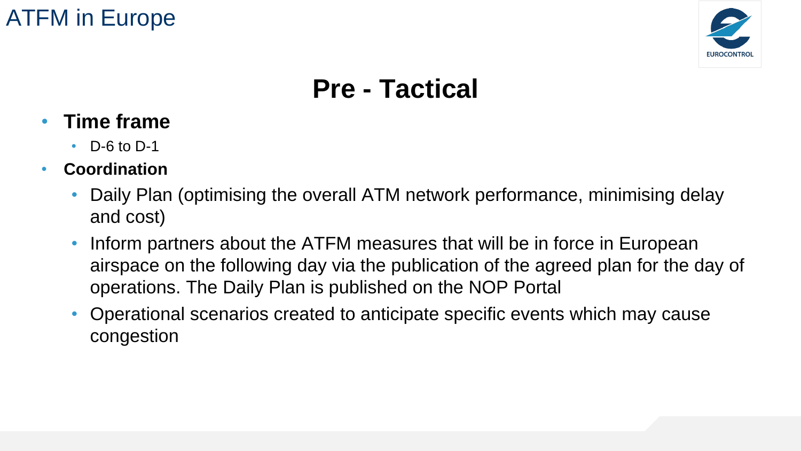

# **Pre - Tactical**

- **Time frame** 
	- D-6 to D-1
- **Coordination**
	- Daily Plan (optimising the overall ATM network performance, minimising delay and cost)
	- Inform partners about the ATFM measures that will be in force in European airspace on the following day via the publication of the agreed plan for the day of operations. The Daily Plan is published on the NOP Portal
	- Operational scenarios created to anticipate specific events which may cause congestion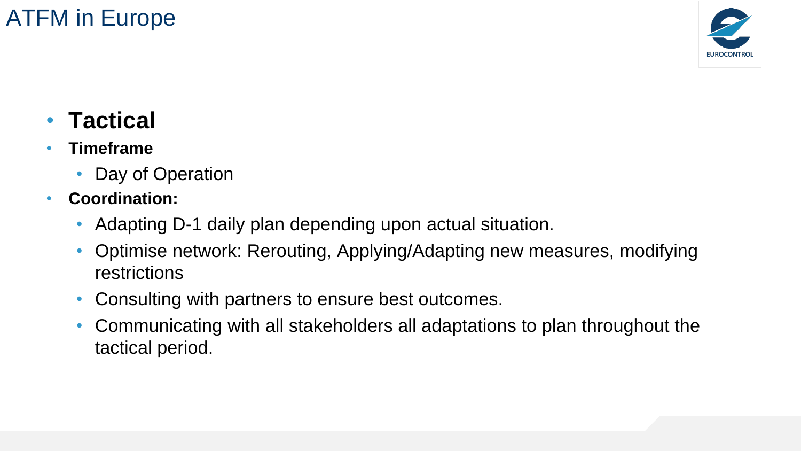

## • **Tactical**

- **Timeframe**
	- Day of Operation
- **Coordination:**
	- Adapting D-1 daily plan depending upon actual situation.
	- Optimise network: Rerouting, Applying/Adapting new measures, modifying restrictions
	- Consulting with partners to ensure best outcomes.
	- Communicating with all stakeholders all adaptations to plan throughout the tactical period.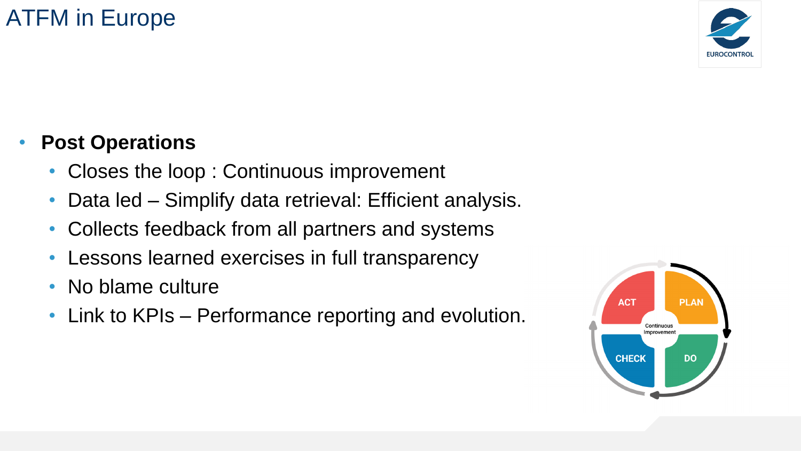

#### • **Post Operations**

- Closes the loop: Continuous improvement
- Data led Simplify data retrieval: Efficient analysis.
- Collects feedback from all partners and systems
- Lessons learned exercises in full transparency
- No blame culture
- Link to KPIs Performance reporting and evolution.

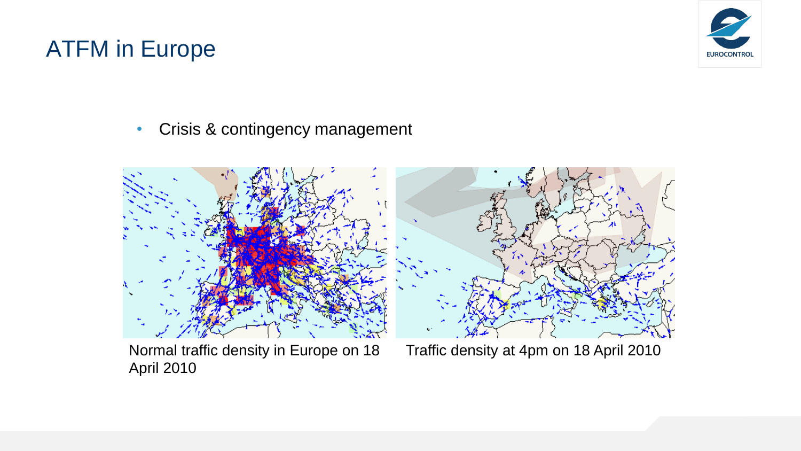

• Crisis & contingency management





Normal traffic density in Europe on 18 April 2010

Traffic density at 4pm on 18 April 2010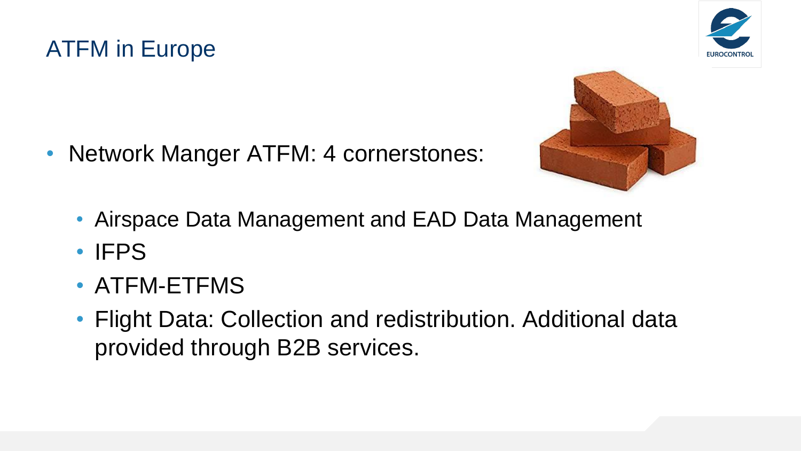





- Network Manger ATFM: 4 cornerstones:
	- Airspace Data Management and EAD Data Management
	- IFPS
	- ATFM-ETFMS
	- Flight Data: Collection and redistribution. Additional data provided through B2B services.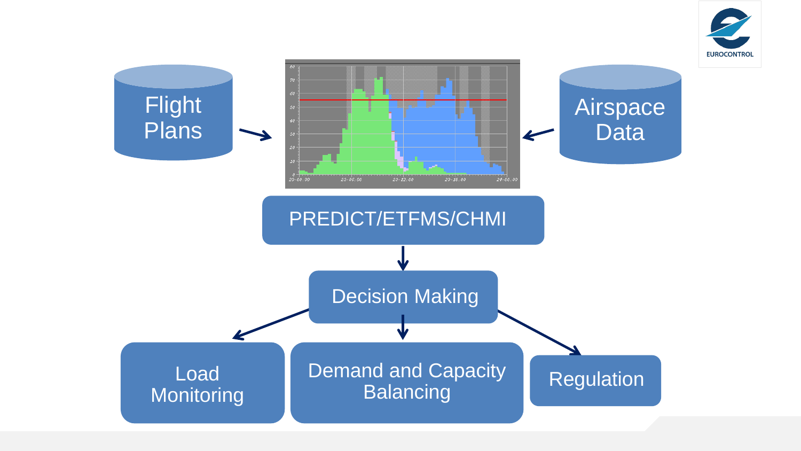

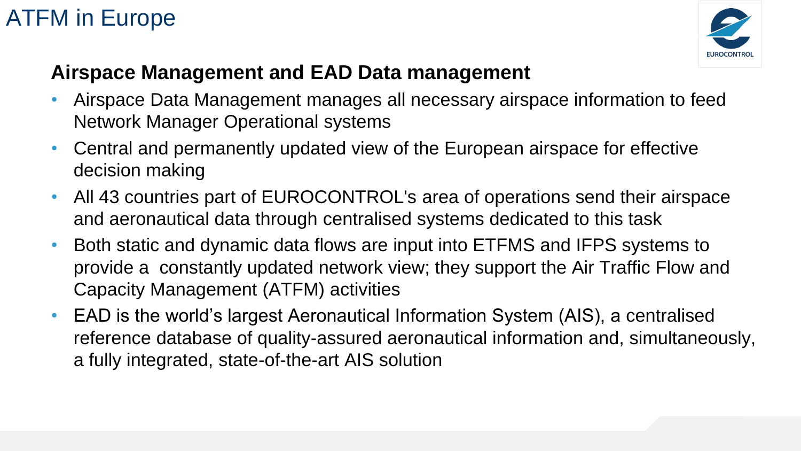

#### **Airspace Management and EAD Data management**

- Airspace Data Management manages all necessary airspace information to feed Network Manager Operational systems
- Central and permanently updated view of the European airspace for effective decision making
- All 43 countries part of EUROCONTROL's area of operations send their airspace and aeronautical data through centralised systems dedicated to this task
- Both static and dynamic data flows are input into ETFMS and IFPS systems to provide a constantly updated network view; they support the Air Traffic Flow and Capacity Management (ATFM) activities
- EAD is the world's largest Aeronautical Information System (AIS), a centralised reference database of quality-assured aeronautical information and, simultaneously, a fully integrated, state-of-the-art AIS solution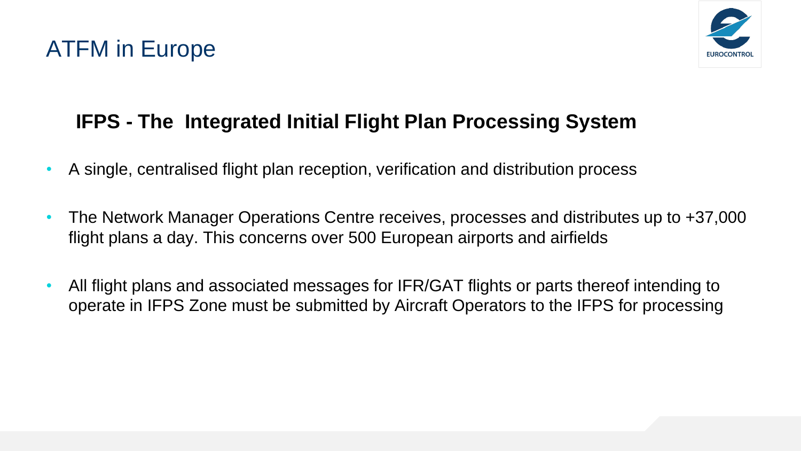

#### **IFPS - The Integrated Initial Flight Plan Processing System**

- A single, centralised flight plan reception, verification and distribution process
- The Network Manager Operations Centre receives, processes and distributes up to +37,000 flight plans a day. This concerns over 500 European airports and airfields
- All flight plans and associated messages for IFR/GAT flights or parts thereof intending to operate in IFPS Zone must be submitted by Aircraft Operators to the IFPS for processing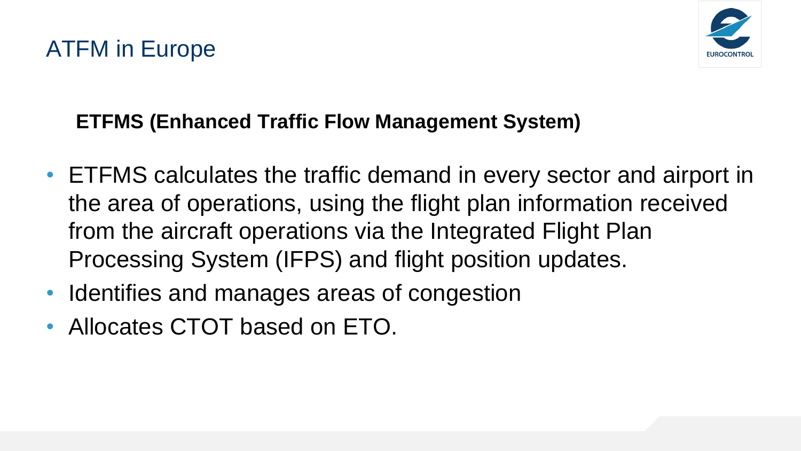

#### **ETFMS (Enhanced Traffic Flow Management System)**

- ETFMS calculates the traffic demand in every sector and airport in the area of operations, using the flight plan information received from the aircraft operations via the Integrated Flight Plan Processing System (IFPS) and flight position updates.
- Identifies and manages areas of congestion
- Allocates CTOT based on ETO.